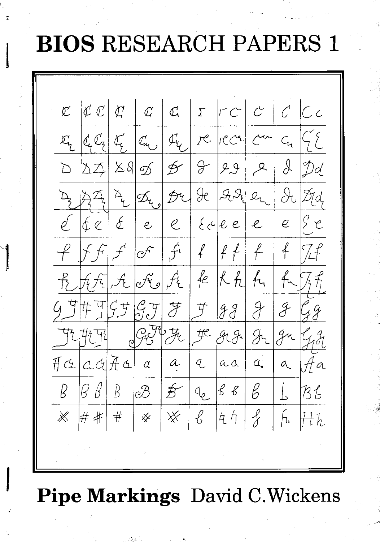## **BIOS RESEARCH PAPERS 1**

 $|\mathfrak{C} \mathfrak{C}| \mathfrak{C} |$   $\mathfrak{C}$   $|\mathfrak{C} |$   $\mathfrak{C}$   $|\mathfrak{C} |$   $|\mathfrak{C} |$   $|\mathfrak{C} |$   $|\mathfrak{C} |$  $\mathcal{C}^{\prime}$  $\Sigma_{\text{L}}$  $|C_{\mu}$  $\mathcal{F}_{q}$  /  $\mathcal{P}$  /  $\mathcal{P}$  /  $\mathcal{C}$   $\mathcal{C}$   $\mathcal{C}$   $\mathcal{C}$   $\mathcal{C}$  $|c\llap/_4C_7|c\llap/_4$  $C_{1}$  $\int$  $\mathcal{B}$  |  $\mathcal{Y}$  |  $\mathcal{Y}$  |  $\sum_{i=1}^{n}$  $|\Delta \mathcal{I}|$  $\Delta 8\not\!\!\!\!\!\!/ \mathop{\mathcal{L}}$  $\mu$  $\mathcal{D}d$  $\mathbb{Z}_{\underline{\mathcal{C}}}$  $9e$   $99e$   $2$  $\partial_{\mathrm{t}}$  $\left|\mathscr{D}_{\bm{\mathcal{C}}_{\bm{\mathcal{A}}}}\right|$  $P1$  $\cancel{\mathcal{D}}$ d  $\oint$  $\beta$  e  $|f(z)|$  $|\n\epsilon e|e e|e$  $e$  $\ell$  $e$  $\mathcal{Q}$  $f\cdot |f| |f| + |f|$  $f$  $\mathscr{O}^{\mathcal{F}}$  $|\mathcal{F} f|$  $\overrightarrow{f}$ H f Fe Rh fu  $|f_t f_t|$ , it  $|f_t|$ , it  $|f_t|$  $\overline{\mathcal{F}}$  $\overline{\mathcal{F}}$  $\mathcal{F}$  $\#$  TSJ 2.7  $\mathscr{F}$ 99  $39.76$  $\mathcal{F}$  $9.81$  In  $9.1$ 7214798  $HCladHd$  $\mathcal{L}$  $Aa$  $\alpha$  $a$  $a$  $\alpha$  $a$  $\alpha$  $\sqrt{4}$  $\beta \beta | B$  $\frac{1}{2}$  $88$  $\beta^ \beta$  $\int_{\mathcal{S}}$  $\odot\hspace{-0.75mm}\mathcal{B}$  $B6$ ※ ## # | ※  $\mathbb{X}$  $\ell$  $44$  $\oint$  $\begin{bmatrix} 6 & H_{th} \end{bmatrix}$ 

## **Pipe Markings** David C. Wickens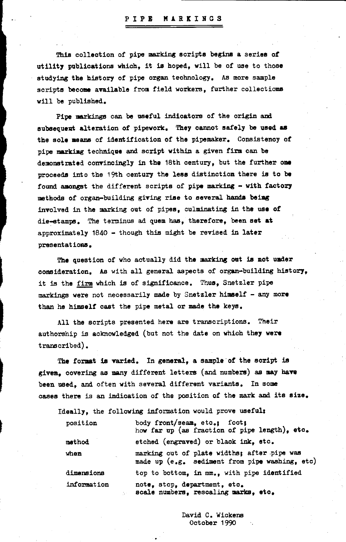## PIPE MARKINGS

This collection of pipe marking scripts begins a series of utility publications which, it is hoped, will be of use to those studying the history of pipe organ technology. As more sample scripts become available from field workers, further collections will be published.

Pipe markings can be useful indicators of the origin and subsequent alteration of pipework. They cannot safely be used as the sole means of identification of the pipemaker. Consistency of pipe marking technique and script within a given firm can be demonstrated convincingly in the 18th century, but the further one proceeds into the 19th century the less distinction there is to be found amongst the different scripts of pipe marking - with factory methods of organ-building giving rise to several hands being involved in the marking out of pipes. culminating in the use of die-stamps. The terminus ad quem has, therefore, been set at approximately 1840 - though this might be revised in later presentations.

The question of who actually did the marking out is not under consideration. As with all general aspects of organ-building history, it is the firm which is of significance. Thus, Snetzler pipe markings were not necessarily made by Snetzler himself - any more than he himself cast the pipe metal or made the keys.

All the scripts presented here are transcriptions. Their authorship is acknowledged (but not the date on which they were transcribed).

The format is varied. In general, a sample of the script is given. covering as many different letters (and numbers) as may have been used, and often with several different variants. In some cases there is an indication of the position of the mark and its size.

Ideally, the following information would prove useful:

| position    | body front/seam, etc.; foot;<br>how far up (as fraction of pipe length), etc.                 |
|-------------|-----------------------------------------------------------------------------------------------|
| method      | etched (engraved) or black ink, etc.                                                          |
| when        | marking out of plate widths; after pipe was<br>made up (e.g. sediment from pipe washing, etc) |
| dimensions  | top to bottom, in mm., with pipe identified                                                   |
| information | note, stop, department, etc.<br>scale numbers, rescaling marks, etc.                          |

David C. Wickens October 1990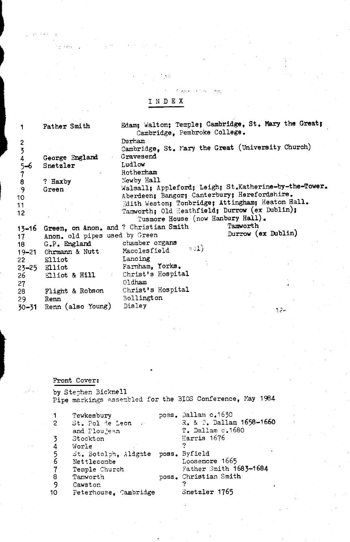|  | ۰. |  |
|--|----|--|
|  |    |  |

hp.

 $\sim 15$ 

ł.

|           | Father Smith                          | Edam; Walton; Temple; Cambridge, St. Mary the Great;<br>Cambridge. Pembroke College. |                    |
|-----------|---------------------------------------|--------------------------------------------------------------------------------------|--------------------|
| 2         |                                       | Durham                                                                               |                    |
|           |                                       | Cambridge, St. Mary the Great (University Church)                                    |                    |
|           | George England                        | Gravesend                                                                            |                    |
| 5–6       | Snetzler                              | Ludlow                                                                               |                    |
| 7         |                                       | Rotherham                                                                            |                    |
| 8         | ? Haxby                               | Newby Hall                                                                           |                    |
| 9         | Green                                 | Walsall; Appleford; Leigh; St.Katherine-by-the-Tower.                                |                    |
| 10        |                                       | Aberdeen; Bangor; Canterbury; Herefordshire.                                         |                    |
| 11        |                                       | Edith Weston; Tonbridge; Attingham; Heaton Hall.                                     |                    |
| 12        |                                       | Tamworth; Old Heathfield; Durrow (ex Dublin);                                        |                    |
|           |                                       | Tusmore House (now Hanbury Hall).                                                    |                    |
| $13 - 16$ | Green, on Anon. and ? Christian Smith | Tamworth                                                                             |                    |
| 17        | Anon. old pipes used by Green         |                                                                                      | Durrow (ex Dublin) |
| 18        | G.P. England                          | chamber organs                                                                       |                    |
| $19 - 21$ | Ohrmann & Nutt                        | $\pi\circ\mathbf{I}$ )<br>Macclesfield                                               |                    |
| 22        | Elliot                                | Lancing                                                                              |                    |
|           | 23-25 Elliot                          | Farnham, Yorks.                                                                      |                    |
| 26.       | Elliot & Hill                         | Christ's Hospital                                                                    |                    |
| 27        |                                       | Oldham                                                                               |                    |
| 28        | Flight & Robson                       | Christ's Hospital                                                                    |                    |
| 29        | Renn                                  | Bollington                                                                           |                    |
| $30 - 31$ | Renn (also Young)                     | Disley                                                                               | $12 -$             |
|           |                                       |                                                                                      |                    |
|           |                                       |                                                                                      |                    |
|           |                                       |                                                                                      |                    |

Front Cover:

فرازر  $\sim$   $^{-1}$  by Stephen Bicknell<br>Pipe markings assembled for the BIOS Conference, May 1984

|                | Tewkesbury                         | poss. Dallam c.1630      |
|----------------|------------------------------------|--------------------------|
| 2              | St. Pol de Leon and                | R. & T. Dallam 1658-1660 |
|                | and Ploujean                       | T. Dallam c.1680         |
|                | Stockton                           | Harris 1676              |
| 4              | Worle                              |                          |
| 5              | St. Botolph, Aldgate poss. Byfield |                          |
| 6              | Nettlecombe                        | Loosemore 1665           |
| $\overline{7}$ | Temple Church                      | Father Smith 1683-1684   |
| 8              | Tamworth                           | poss. Christian Smith    |
| 9              | Cawston                            |                          |
| 10             | Peterhouse, Cambridge              | Snetzler 1765            |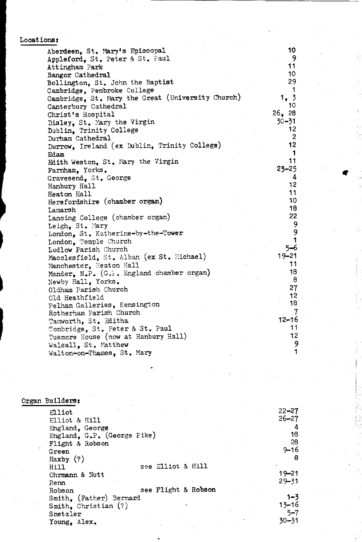|  |  |  | Locations: |
|--|--|--|------------|
|--|--|--|------------|

| ons:                                              |              |
|---------------------------------------------------|--------------|
| Aberdeen, St. Mary's Episcopal                    | 10           |
| Appleford, St. Peter & St. Paul                   | 9            |
| Attingham Park                                    | 11           |
| Bangor Cathedral                                  | 10           |
| Bollington, St. John the Baptist                  | 29           |
| Cambridge, Pembroke College                       |              |
| Cambridge, St. Mary the Great (University Church) | 1, 3         |
| Canterbury Cathedral                              | 10           |
| Christ's Hospital                                 | 26, 28       |
| Disley, St. Mary the Virgin                       | $30 - 31$    |
| Dublin, Trinity College                           | 12           |
| Durham Cathedral                                  | $\mathbf{2}$ |
| Durrow, Ireland (ex Dublin, Trinity College)      | 12           |
| Edam                                              | 1            |
| Edith Weston, St. Mary the Virgin                 | 11           |
| Farnham, Yorks.                                   | $23 - 25$    |
| Gravesend, St. George                             | 4            |
| Hanbury Hall                                      | 12           |
| Heaton Hall                                       | 11           |
| Herefordshire (chamber organ)                     | 10           |
| Lamarsh                                           | 18           |
| Lancing College (chamber organ)                   | 22           |
| Leigh, St. Mary                                   | 9            |
| London, St. Katherine-by-the-Tower                |              |
| London, Temple Church                             |              |
| Ludlow Parish Church                              | 5–6          |
| Macclesfield, St. Alban (ex St. Michael)          | 19-21        |
| Manchester, Heaton Hall                           | 11           |
| Mander, N.P. (G.F. England chamber organ)         | 18           |
| Newby Hall, Yorks.                                | 8            |
| Oldham Parish Church                              | 27           |
| Old Heathfield                                    | 12           |
| Pelham Galleries, Kensington                      | 18           |
| Rotherham Parish Church                           |              |
| Tamworth, St. Editha                              | $12 - 16$    |
| Tonbridge, St. Peter & St. Paul                   | 11           |
| Tusmore House (now at Hanbury Hall)               | 12           |
| Walsall, St. Matthew                              | 9            |
| Walton-on-Thames, St. Mary                        |              |
|                                                   |              |

| Organ Builders:             |                     |           |
|-----------------------------|---------------------|-----------|
| Elliot                      |                     | $22 - 27$ |
| Elliot & Hill               |                     | $26 - 27$ |
| England, George             |                     | 4         |
| England, G.P. (George Pike) |                     | 18        |
| Flight & Robson             |                     | 28        |
| Green                       |                     | $9 - 16$  |
| Haxby $(?)$                 |                     | 8         |
| Hill                        | see Elliot & Hill   |           |
| Ohrmann & Nutt              |                     | $19 - 21$ |
| Renn                        |                     | $29 - 31$ |
| Robson                      | see Flight & Robson |           |
| Smith, (Father) Bernard     |                     | $1 - 3$   |
| Smith, Christian $(?)$      |                     | $13 - 16$ |
| Snetzler                    |                     | $5 - 7$   |
| Young, Alex.                |                     | $30 - 31$ |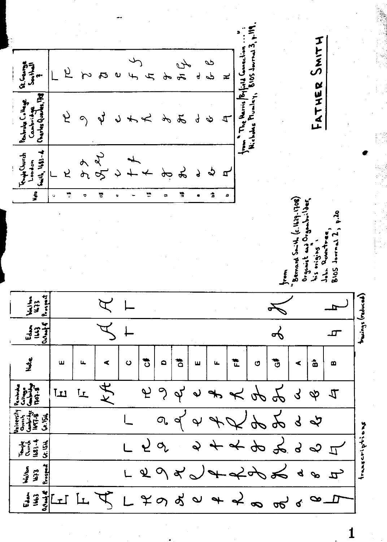FATHER SMITH B105 Journal from The Harris Biffeld Councilis<br>Nicholas Muniky, BIDS Journa B **Refluor**<br>Person 25 万 طح  $\tilde{r}$ ぷ ą  $\frac{1}{2}$ ≠ Charles Quartes, 199 Boundary College Cambridge  $\mathbf{v}$ と  $\hat{\mathcal{L}}$  $\mathcal{A}$  $\mathcal{L}$  $\boldsymbol{\nsim}$  $\mathbf{q}$  $\mathbf{\hat{z}}$ 4 لہ New  $\frac{1}{2}$  Smith,  $1683 - 4$ **Fryschurch**<br>London  $\mathcal{X}$ ሖ  $\Delta$  $\mathcal{L}$  $\sigma$  $\mathbf{r}$ と à ۳, ÷ 림  $\overline{\bullet}$ J. 븅 Bemand Striel, of 1611. pag Organist and Organisuilder<br>his origins John Rountre BIOS Journal  $\sum$ Prospect Hurings (reduced)  $\frac{1}{\frac{1}{2} \sum_{i=1}^{n} x_i}$  $\overrightarrow{\mathrm{b}}$  $\mathbf{r}$  $\frac{9}{2}$  $\ddot{\ddot{\circ}}$ ិ៍ ిం  $\circ$  $\bullet$ ₩  $\hat{\mathbf{a}}$ ш  $\overline{\mathbf{u}}$ ď, Ш  $\blacktriangleleft$  $\mathbf{L}$ O  $\bullet$  $\overline{\kappa}$  $\begin{array}{c}\n\mathbf{y} \\
\mathbf{y} \\
\mathbf{y} \\
\mathbf{y}\n\end{array}$  $\gamma$ L  $\tilde{\mathcal{L}}$ ب  $\phi$  $\lambda$  $L$  $\boldsymbol{\mathcal{K}}$  $\hat{\mathbf{v}}$  $\mathcal{L}$  $\phi$  $\frac{4}{5}$ すりょ **University**<br>Church<br>**Lendridge** ≵ر<br>ذی  $\Omega$  $\cancel{2}$  $\mathcal{S}$  $\overline{\mathsf{P}}$  $\varphi$  $\mathbf{\hat{y}}$  $\mathbf{q}$  $\overline{\mathcal{L}}$ truscriptions  $\mathbf{r}$  $\frac{8}{3}$  $\frac{3}{3}$  $\frac{4}{3}$ ںے 三  $\sigma_{\rm c}$  $\hat{\mathbf{z}}$  $\varphi$ d  $\overline{\mathcal{I}}$ သ Prospect د المعالم**ي**<br>1973<br>1973  $\vec{\sigma}$  $\mathbf{x}^{\prime}$  $\bullet$  $\mathbf{z}$  $\frac{1}{\sqrt{\frac{1}{\sqrt{2}}}}$  $\frac{1}{2}$ 1663  $\overrightarrow{ }$  $L$  $\sigma$  $\rightarrow$ प्  $79$  $\dot{\mathbf{p}}$ D  $\infty$  $\mathfrak{g}$ ේ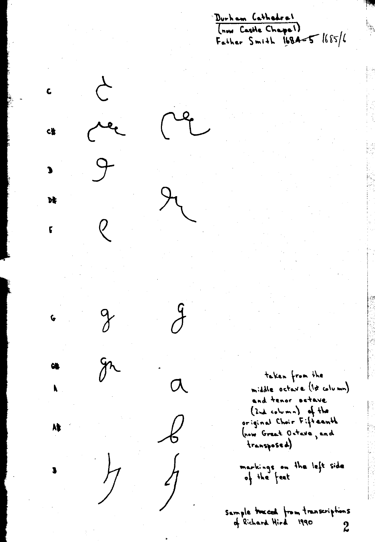Durham Cathedral (now Castle Chapel) Father Smith  $1684-5$   $1685/6$ 



 $\boldsymbol{\mathcal{J}}$ 

 $\overline{C}$ 

 $\frac{\lambda}{\lambda}$ 

p

 $\mathbf c$ 

**C世** 

נ

 $\mathbf{r}$ 

ţ

taken from the middle octave (17 column) and tenor setave  $(2nd, column)$  of the original Choir Fifteenth (now Great Octave, and transposed)

markings on the left side<br>of the feet

Sample traced from transcriptions of Richard Hird 1990  $\boldsymbol{2}$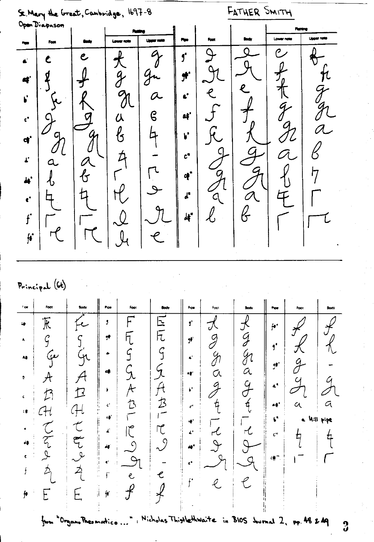St. Mary the Great, Cambridge, 1697-8<br>Open Diapason

FATHER SMITH

|                          |        |                            |               |               |                            |      |                     |                            | Furing                     |
|--------------------------|--------|----------------------------|---------------|---------------|----------------------------|------|---------------------|----------------------------|----------------------------|
| . .                      | Foot   |                            | Lawar note    | Linger note   | Pipe                       | Foot | <b>Body</b>         | Lower note                 | <b>Upper note</b>          |
| $\blacksquare$           |        | $\mathbf{e}$               | 夭             | 0             | $\mathbf{f}$               |      |                     | P                          |                            |
| $\bullet$                | g<br>٠ |                            | $\mathscr{J}$ |               | $\pmb{\sharp}^{\bullet}$   |      | $\boldsymbol{\ell}$ |                            |                            |
| $\mathbf{r}$             |        | ▞                          | N             | $\sigma$      | $\mathbf{c}^*$             | ę    |                     | 4 <sub>1</sub>             | $\boldsymbol{\mathcal{G}}$ |
| $\epsilon^*$             |        |                            | 从             | $\mathcal{C}$ | $\mathbf{a}^{\star}$       |      | z                   |                            |                            |
| $\mathbf{d}^{\prime}$    | CI     | $\mathcal{G}_1$            | $\ell_{5}$    |               | $\mathbf{r}$               |      |                     | $\mathcal{\mathcal{L}}$    |                            |
| $\mathbf{r}$             | a      | $\boldsymbol{\mathcal{O}}$ |               |               | $c^*$                      |      |                     | $\boldsymbol{\mathcal{A}}$ |                            |
| $\blacktriangle$         | Þ      | $\mathbf{r}$               |               | حو            | $\boldsymbol{q}^{\bullet}$ |      |                     |                            | דיו                        |
| $\pmb{\epsilon}^\bullet$ |        | T.                         |               |               | $\pmb{\lambda}^{\text{e}}$ | q    | $\mathcal{O}$       |                            |                            |
| $\mathbf{f}$             |        |                            | $\sim$        |               | $\frac{1}{2}$              | ر∕∕  | f                   |                            |                            |
| $\boldsymbol{\mu}$       |        |                            |               |               |                            |      |                     |                            |                            |

## $P_{rincipal}(\mathcal{U})$

 $\frac{1}{\sqrt{2}}$ 

| $\cdot$ or                                    | Foot                                                                                                   | Body                                                               | Pipe                                                                                                                                                                     | Foot | <b>Body</b>                                                                               | Pipe                                                                                                                                                                                                                              | Foot         | Body                  | Pice                                                                                                                                                                | Foot                                  | Body      |
|-----------------------------------------------|--------------------------------------------------------------------------------------------------------|--------------------------------------------------------------------|--------------------------------------------------------------------------------------------------------------------------------------------------------------------------|------|-------------------------------------------------------------------------------------------|-----------------------------------------------------------------------------------------------------------------------------------------------------------------------------------------------------------------------------------|--------------|-----------------------|---------------------------------------------------------------------------------------------------------------------------------------------------------------------|---------------------------------------|-----------|
| ₩<br>٨<br>A‡<br>÷<br>¢<br>≢≎<br>d\$<br>e<br>₩ | 下<br>ىنى<br>$\widetilde{\mathcal{C}_{l}}$<br>$\mathcal{D}% _{M_{1},M_{2}}^{\alpha,\beta}(\varepsilon)$ | $\lceil \cdot \rceil$<br>で<br>محلح<br>عربه<br>H<br>$\vec{z}$<br>┝╸ | 3<br>$\mathbf{r}$<br>۰<br>4<br>$\mathbf{F}$<br>$\mathbf{c}^*$<br>$\epsilon$<br>$\pmb{\mathcal{L}}$<br>$\frac{1}{2}$<br>$\pmb{\epsilon}^{\text{t}}$<br>$\hat{\mathbf{H}}$ | ₽    | 노<br>厅<br>${\mathcal{B}}$<br>$\mathbb{T}$<br>-9<br>$\sim$<br>C<br>Nicholas Thistlethwaite | $\mathbf{f}^{\prime}$<br>$\mathbf{r}$<br>$\mathbf{A}^{\mathcal{A}}$<br>$\bullet\bullet$<br>$\mathbf{F}^{\mathbf{r}}$<br>$\epsilon^*$<br>$\ddot{\bullet}$<br>$\mathbf{L}^{\mathbf{a}}$<br>$\mathbf{A}$<br>$\pmb{\epsilon}^*$<br>t. | Ņ<br>11      | G<br>P<br>M<br>α<br>4 | $f^{\bullet}$<br>$\boldsymbol{f}^{\prime}$<br>$\mathbf{f}$<br>$\mathbf{a}^{\mathbf{t}}$<br>$\bullet\blacklozenge$<br>Ł,<br>$\mathsf{C}^{\mathrm{M}}$<br>$c \neq$ ". | ${\cal J}$<br>$\alpha$<br><b>Will</b> | α<br>bibe |
|                                               | from                                                                                                   | "Organo Prevenatico                                                |                                                                                                                                                                          |      |                                                                                           |                                                                                                                                                                                                                                   | $\mathbf{u}$ | $B$ 105               |                                                                                                                                                                     | $J_{\text{normal}}$ 2, pp. 48 $2.49$  |           |

 $\sim$ 

 $\frac{1}{2}$  .

 $\overline{3}$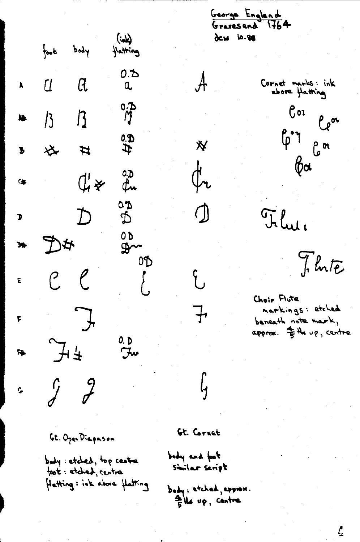$(4n)$ foot body Hatting  $0.5$  $\sim$   $\alpha$  $\alpha$  $\frac{0.3}{7}$  $13$   $13$ N.  $\frac{3}{5}$ **な #**  $\overline{\mathbf{b}}$ 0.D  $\mathbb{C}$   $\mathbb{C}$   $\mathbb{C}$   $\mathbb{C}$  $\bullet$ ¢u **CD**  $\overline{D}$  $\mathbf{D}$ Ď 0D  $\frac{1}{4}$  $\mathbf{M}$  $\mathbb{R}$ OD  $C$   $C$  $\begin{pmatrix} 1 \\ 1 \end{pmatrix}$ E  $\int$ F  $J+$  $\frac{0.5}{5}$ 4  $\begin{array}{cc} \mathcal{J} & \mathcal{J} \end{array}$  $\mathcal{G}$ 

George England Gravesend 1764 dew 10.88

 $\mathcal{A}$ 

 $\mathbf{\breve{X}}$ 

(h

 $\bigcirc$ 

子

Cornet marks: ink



Flui.

J. Inte

 $\mathcal{L}_{\mathbf{z}}$ 

Choir Flute narkings: etched beneath note mark, approx. = the up, centre

Gt. Open Diapason

body etched, top centre foot: etched, central Hatting: ink above Hatting Gt. Cornet

r<br>G

popy and for Similar seript

body: etched, expres. the up, centre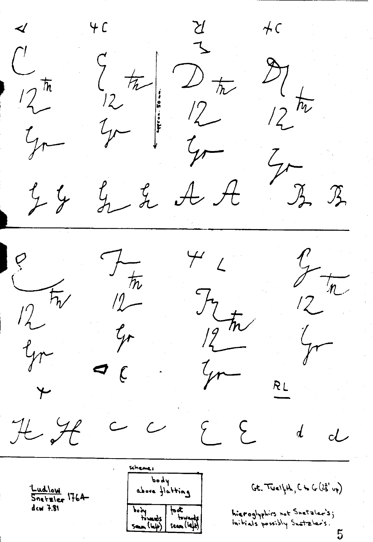$\begin{array}{c} \underline{\gamma} \\ 1 \end{array}$  $4C$  $AC$  $\frac{1}{2}$  $\int \frac{1}{\pi}$   $\int$   $\frac{1}{\pi}$  $\frac{27}{12}$  $72 - 12$ <br> $72 - 12$ <br> $72 - 12$  $y_{r-1}$  $t$  $Z_{\overline{A}}$  $\mathcal A \not \mathcal A$  $\mathcal{L}$   $\mathcal{L}$  $74$  $\frac{e}{\sqrt{2\pi}}$  $442$  $\frac{p}{2}$  $7\frac{1}{\hbar}$  $J_{2\text{th}}$  $12-$ Go  $\frac{1}{T}$ Gr  $\begin{array}{c} \n\mathcal{L} \n\end{array}$ yo-RL H H  $\sim$   $\sim$  $\Sigma$  $\overline{d}$  $d$ pody  $Gt.$  Twelfth,  $C$  to  $G(25'$  up) Ludlow<br>Snetzler 1764 above flatting dcw 7.81 body foot<br>fournos fouverds<br>seun (left) seun (left) hieroglyphics not Snetzler's; initials possibly Snatzler's.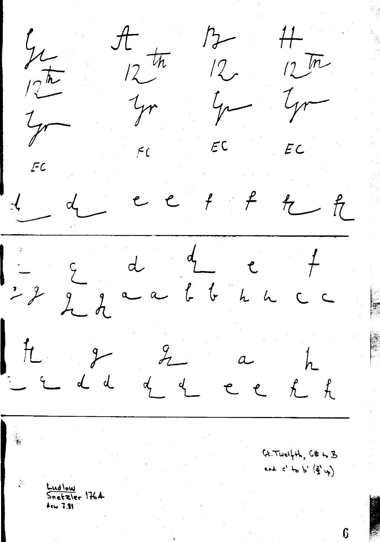$\frac{\pi}{12}\pi$  $\frac{11}{11}$  $\mathcal{P}$  $\mathcal{Y}_{\mathcal{L}}$  $12\sqrt{m}$  $12$  $\sqrt{\frac{\hbar}{L}}$ yr  $\frac{1}{\gamma}$ Ir  $rac{1}{\sqrt{2}}$  $EC$  $EC$  $\zeta$  $FC$  $\frac{1}{2}$  $e$   $e$  $f$  $d$  $f$ 九九  $\frac{1}{\sqrt{2}}$  $d \frac{d}{2}$   $e$  $222$  $a$  $H$   $2$  $z$  $h$  $\alpha$  $\frac{1}{2}$   $\frac{1}{2}$   $\frac{1}{2}$  $d$   $d$   $e$   $e$  $f_L$  $Gt$ . Twelfth,  $G#$  to  $B$ and  $c'$  to b'  $(\frac{2}{3}, \mu)$ Kudlow  $S_{\text{netaler}}$  1764  $4cm$  7.81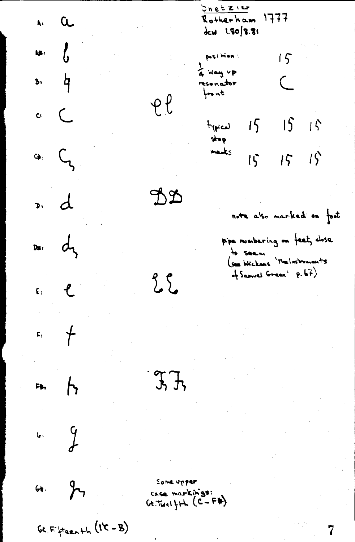<u>Inetzie</u>  $\mathbf{r}$  a Rotherham 1777 Jew 1.80/8.81  $\begin{matrix} \mathbf{u} & \mathbf{v} & \mathbf{v} \\ \mathbf{v} & \mathbf{v} & \mathbf{v} \end{matrix}$ position:  $15$  $\frac{1}{4}$  way vp  $\mathbf{B}$   $\mathbf{\dot{q}}$  $\subset$ resonator  $+$  $\theta$  $c<sup>2</sup>$  $15 - 15 + 5$  $h_{\text{re}}$  $4. \quad C_{3}$ mades  $15 - 15$  $\overline{15}$  $\overline{a}$ DD note also marked on foot pipe numbering on feet, dose  $D_{\mathbf{B}}$ :  $d_{\mathbf{B}}$ to seem<br>(see Wickens 'The Instruments of Samuel Green' p.67)  $\epsilon$ .  $\sum_{i=1}^{n}$  $F_1$  +  $J, J,$  $F(b)$  $rac{q}{r}$  $G_{4}$   $\frac{9}{7}$ Some upper Case markings:<br>Gt. Twelfth (C-F#)  $\mathsf{Gt}, \mathsf{Ff} \nmid \mathsf{f} \mathsf{a} \mathsf{e} \rightarrow \mathsf{h} \left( \mathsf{I} \mathsf{K} - \mathsf{B} \right)$ 7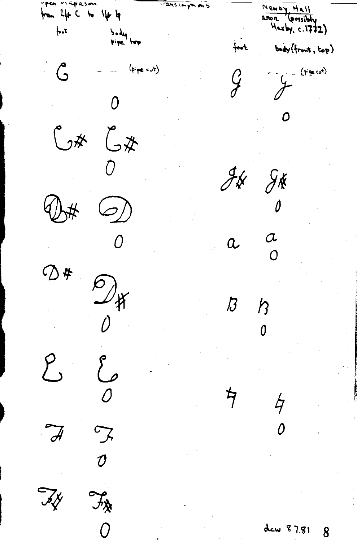yen viapason ITALISCOPPH ONS Mewby Hall from  $2\mu$  C to  $1\mu$  by  $a$ non Harby, c. 1772)  $+1$ body<br>vipe top body (front, top)  $\frac{1}{2}$ (Frecot)  $\mathcal{C}$  $(p_{\text{pre}}^{\text{cut}})$  $\overline{O}$ 0  $C$ \*  $C$ \*  $4696$  $\hat{\theta}$  $\begin{matrix} 2 \ 0 \end{matrix}$  $\frac{1}{2}$  $\alpha$ <br>0  $\alpha$  $0 * 24$  $\begin{array}{c} \mathcal{P} \\ \mathcal{P} \\ \mathcal{P} \end{array}$  $\overline{\mathcal{B}}$  $\mathcal{E}$  $\begin{matrix} 1 & 1 \\ 0 & 1 \end{matrix}$  $\frac{1}{7}$  $\overline{\mathcal{A}}$  $\overline{\mathcal{J}}$ ty  $f_{\rm \hat{X}}$  $\overline{O}$ dew 8.7.81 8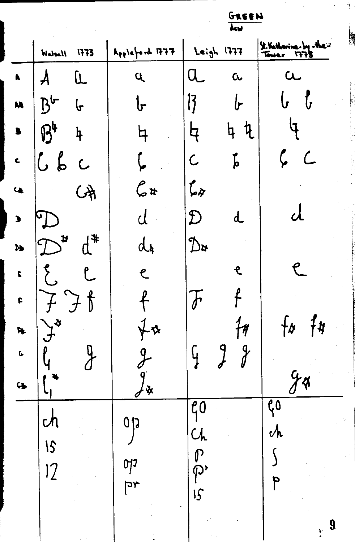$\mathcal{X}$ 

 $\sqrt{1/3}$ 

|                       |                        |                                           |                              |                                                                                                         | <b>AKREW</b><br>$\overline{\mathbf{t}}$ |                                                                                                                 |               |
|-----------------------|------------------------|-------------------------------------------|------------------------------|---------------------------------------------------------------------------------------------------------|-----------------------------------------|-----------------------------------------------------------------------------------------------------------------|---------------|
|                       | Watsall 1773           |                                           | $A_{pp}$ leford FFF          |                                                                                                         | Leigh 1777                              | Jt. Katharina-Ing-the-<br>Tower 1778                                                                            | <b>ALLAND</b> |
| $\blacksquare$        | $\boldsymbol{\lambda}$ | L                                         | L                            | $\mathbf{I}$                                                                                            | $\mathbf{c}$                            | $\alpha$                                                                                                        |               |
| M                     | $B^{\sim}$             | $\mathbf{f}$                              | ᡶ                            | <b>13</b>                                                                                               | $\mathfrak b$                           | {<br>U<br>$\mathsf{L}$                                                                                          |               |
| $\blacksquare$        | B                      | $\frac{1}{2}$                             |                              | 4                                                                                                       | <u>f</u><br>եր                          |                                                                                                                 |               |
| $\blacktriangle$      | 66                     | $\overline{C}$                            |                              | $\mathsf C$                                                                                             | t<br>p                                  | $\mathcal{L}% _{M_{1},M_{2}}^{\alpha,\beta}(\varepsilon)=\mathcal{L}_{M_{1},M_{2}}^{\alpha,\beta}(\varepsilon)$ |               |
| $\bullet$             |                        | $\beta$                                   | $\mathcal{C}$ #              | $\mathcal{L}_\mathcal{F}$                                                                               |                                         |                                                                                                                 |               |
| $\blacktriangleright$ |                        |                                           |                              | $\mathfrak{D}% _{T}=\mathfrak{D}_{T}\!\left( a,b\right) ,\ \mathfrak{D}_{T}=C_{T}\!\left( a,b\right) ,$ | d_                                      | <b>U</b>                                                                                                        |               |
| $\mathcal{H}$         | $\mathbf{t}$           | $d^*$                                     | ďγ                           | $\mathcal{D}^{\mathbf{x}}$                                                                              |                                         |                                                                                                                 |               |
| $\mathbf{r}$          |                        | $\mathfrak{k}$                            | $\epsilon$                   |                                                                                                         | L                                       |                                                                                                                 |               |
| F                     |                        | $\widetilde{\mathcal{F}}$<br>$\mathbf{f}$ | f                            | V                                                                                                       |                                         |                                                                                                                 |               |
| P <sub>p</sub>        | Ķ                      |                                           | $\boldsymbol{\Delta}$        |                                                                                                         | $\eta$                                  | $f$ s<br>{#                                                                                                     |               |
| $\mathbf G$           |                        |                                           |                              |                                                                                                         | $\frac{9}{2}$<br>9                      |                                                                                                                 |               |
| $\mathbf{G}$          |                        |                                           | Ķ                            |                                                                                                         |                                         | $\boldsymbol{\phi}$                                                                                             |               |
|                       | $\mathcal{C}$          |                                           | 0<br>1                       | $\overline{\mathfrak{k}}0$                                                                              |                                         | $\mathfrak{g}_0$                                                                                                |               |
|                       | 15                     |                                           |                              | $\overline{\mathcal{C}}$                                                                                |                                         | $\mathcal{N}$                                                                                                   |               |
|                       | $  \mathcal{I}$        |                                           | 017                          | က<br>ကု                                                                                                 |                                         |                                                                                                                 |               |
|                       |                        |                                           | $\overline{\mathcal{A}}$ رحا | $\overline{5}$                                                                                          |                                         | P                                                                                                               |               |
|                       |                        |                                           |                              |                                                                                                         |                                         | 9<br>卸工                                                                                                         |               |
|                       |                        |                                           |                              |                                                                                                         |                                         |                                                                                                                 |               |

 $\frac{1}{2} \sum_{i=1}^{n} \frac{1}{2} \sum_{j=1}^{n} \frac{1}{2} \sum_{j=1}^{n} \frac{1}{2} \sum_{j=1}^{n} \frac{1}{2} \sum_{j=1}^{n} \frac{1}{2} \sum_{j=1}^{n} \frac{1}{2} \sum_{j=1}^{n} \frac{1}{2} \sum_{j=1}^{n} \frac{1}{2} \sum_{j=1}^{n} \frac{1}{2} \sum_{j=1}^{n} \frac{1}{2} \sum_{j=1}^{n} \frac{1}{2} \sum_{j=1}^{n} \frac{1}{2} \sum_{j=1}^{n$ 

ρÝ,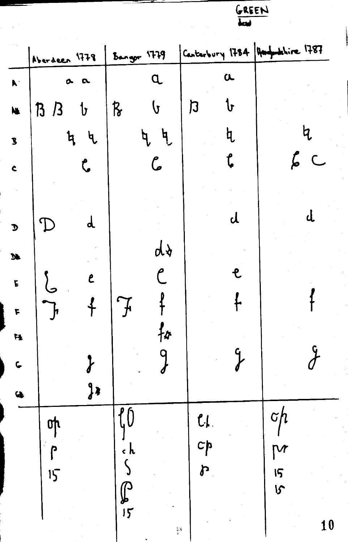|                           | Aberdeen 1778           | Bangor 1779              | Casterbury 1784 Hampshire 1787 |              |
|---------------------------|-------------------------|--------------------------|--------------------------------|--------------|
| $\mathbf{A}$              | $\bullet$<br>$\alpha$   | $\alpha$                 | $\alpha$                       |              |
| N.                        | $B$ $B$<br>$\mathbf{b}$ | R<br><b>(</b>            | Ն<br>乃                         |              |
| $\overline{\mathbf{S}}$   | ५<br>৸                  | $\mathbf{\ddot{q}}$<br>ዒ | կ                              | b            |
| $\bullet$                 | $\mathbf{C}$            | جا                       |                                | $5\,$ C      |
|                           |                         |                          |                                |              |
| $\mathbf{D}%$             | d                       |                          | d                              | d,           |
| $\mathbf{M}$              |                         | ďγ                       |                                |              |
| $\overline{\mathbf{r}}$   | L                       |                          | e.                             |              |
| $\boldsymbol{\mathsf{F}}$ |                         |                          |                                |              |
| $\ddot{H}$                |                         | 孙                        |                                |              |
| $\mathbf{C}$              |                         |                          | g<br>Y                         |              |
| $\ddot{\bullet}$          | $J^*$                   |                          |                                |              |
|                           | <u>o</u>                | $f_0$                    | $c_{1}$                        | $\sigma$ h   |
|                           | ρ                       | $\epsilon$ $\mathbf{k}$  | $c_{\mid}$                     | $\mathsf{P}$ |
|                           | 15                      |                          | $\boldsymbol{r}$               | 15<br>15     |
|                           |                         | $\int_{5}$               |                                |              |
|                           |                         |                          | $\frac{3}{4}$                  | 10           |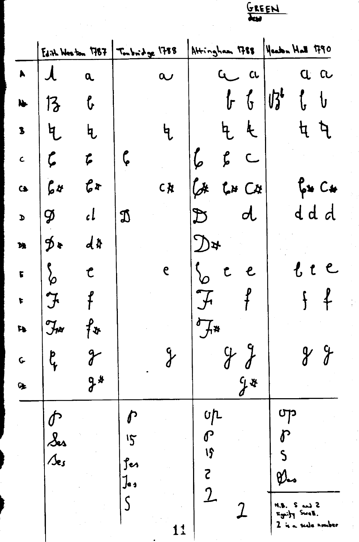j

 $\frac{1}{2}$ 

i<br>P

 $\begin{array}{c}\n\cdot \\
\cdot \\
\cdot\n\end{array}$ 

 $\frac{1}{2}$ 

|                       |                            |                                       | GREEN                         |                       |                                |                           |                                |             |               |                          |
|-----------------------|----------------------------|---------------------------------------|-------------------------------|-----------------------|--------------------------------|---------------------------|--------------------------------|-------------|---------------|--------------------------|
|                       |                            | $E4$ ith Waston 1787   Toubridge 1788 |                               |                       |                                |                           | Attingham 1788 Weakn Hall 1790 |             |               |                          |
| $\blacktriangleright$ | $\mathcal{A}$              | $\alpha$                              |                               | $\boldsymbol{\alpha}$ |                                | $\overline{u}$            | CL                             |             |               | a a                      |
| $\blacklozenge$       | 13                         | $\mathbf{r}$                          |                               |                       |                                |                           | $f_{\Gamma}$ $f_{\Gamma}$      | 好           |               |                          |
| $\mathbf{B}$          | 气                          | $\mathfrak{h}$                        |                               | է                     |                                | $\frac{1}{2}$             | $\frac{1}{2}$                  |             |               | <b>ધ ધ</b>               |
| $\mathsf{C}$          | $\boldsymbol{\zeta}$       | F                                     | $\boldsymbol{\zeta}$          |                       | $\pmb{\zeta}$                  | $\boldsymbol{\mathit{f}}$ | $\subset$                      |             |               |                          |
| $\bullet$             | 64                         | 6x                                    |                               | CŘ                    | $\mathcal{L}^*$                |                           | $L*$ $C*$                      |             |               | $f_{\phi}$ is $C_{\phi}$ |
| d                     | $\boldsymbol{\mathcal{G}}$ | $\iota$                               | $\mathfrak{D}$                |                       |                                |                           | $\boldsymbol{d}$               |             |               | ddd                      |
| <b>Dk</b>             | ∮∗                         | $d$ \$                                |                               |                       | $\mathcal{L}$                  |                           |                                |             |               |                          |
| $\mathbf{r}$          | $\frac{1}{6}$              | $\mathfrak{C}$                        |                               | $\epsilon$            |                                | $\mathbf{C}$              | $\epsilon$                     |             |               | むし                       |
| $\blacktriangleright$ | 7                          |                                       |                               |                       |                                |                           | n.                             |             |               | 0.                       |
| $\mathbf{p}$          | $\mathcal{J}_{\mu\nu}$     | <i>{</i> »                            |                               |                       | $H^*$                          |                           |                                |             |               |                          |
| $\mathbf G$           | b<br>Y                     | J                                     |                               |                       |                                |                           |                                |             |               |                          |
| Œ                     |                            | $J^*$                                 |                               |                       |                                |                           | $y^*$                          |             |               |                          |
|                       |                            |                                       |                               |                       | $\mathfrak{c}$                 |                           |                                | ၯႜ          |               |                          |
|                       | Ses<br>/se <i>s</i>        |                                       | $\mathcal{S}$                 |                       | $\boldsymbol{\varGamma}$<br>19 |                           |                                |             |               |                          |
|                       |                            |                                       | fer<br>$\mathbf{J}_{\bullet}$ |                       | <b>S</b>                       |                           |                                | <b>Elas</b> |               |                          |
|                       |                            |                                       |                               |                       | $\overline{2}$                 |                           |                                |             | M.S. S.       |                          |
|                       |                            |                                       |                               | 11                    |                                |                           |                                |             | sonity Swell. | 2 is a scale number      |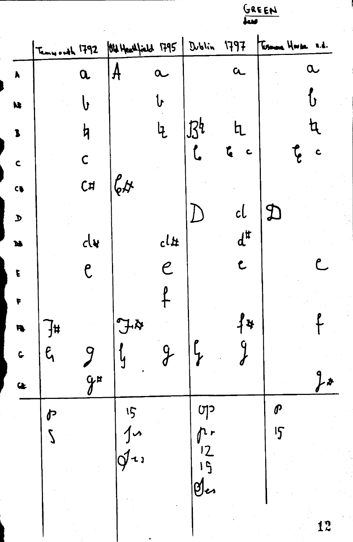Old Heathfield 1795 | Dublin 1797 Tesmona House 1.d. Temwoodh 1792  $\mathcal{A}$  $\alpha$  $\alpha$  $\alpha$  $\overline{\mathbf{a}}$  $\blacksquare$ <u>{</u>  $\mathbf{t}$  $\mathbf b$  $\mathbf{M}$  $134$ f <sup>l</sup>  $\frac{1}{2}$  $\hbox{h}$  $\overline{\mathbf{B}}$  $\mathbf{C}$  $\frac{1}{2}$ t.  $\mathbf{c}$  $\overline{\mathsf{C}}$  $\mathbf c$  $\mathcal{L}_{\varphi}$ C#  $C_{\frac{1}{2}}$ cl  $\mathfrak{D}$  $\int$  $\mathbf D$  $d^{\sharp}$  $cl$ #  $d$ N  $\epsilon$  $\mathcal C$ Ĉ.  $\overline{\mathcal{C}}$  $\tilde{\mathbf{E}}$  $f$  $\overline{\mathbf{r}}$  $f$ \*  $44$  $\overline{\mathcal{H}}$ R.  $\mathfrak{l}$  $\int$  $\frac{9}{5}$  $\int$  $\epsilon$ 9  $\mathbf{C}$  $f$  $\mathcal{Y}^{\mu}$  $\bullet$  $\boldsymbol{\vartheta}$ 15  $\mathfrak{g}$ 户  $10$  $15$  $r$  $\mathcal{L}$  $\phi$  $\frac{12}{15}$ gles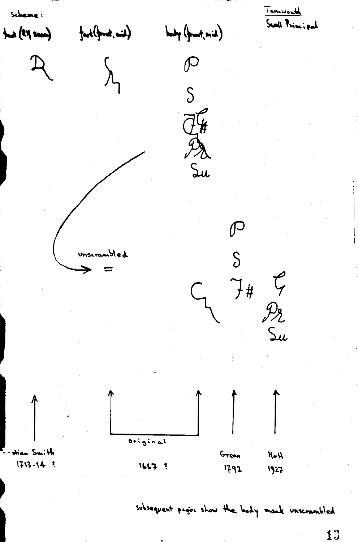Temworth Schame: Swall Principal  $\text{foch}(\text{froot}, \text{mid})$ body (front, mid) that (RM seam)  $\mathcal{P}$  $\mathsf{S}$  $\widetilde{d\mathcal{L}}$  $\mathbb{Z}$ Su  $\mathcal{P}$  $\delta$ unscrambled C<br>Pr<br>Su  $7#$  $\overline{original}$ <sup>E</sup>-dian Smith Green  $H \bullet H$  $1713 - 14$  $1667$  ? 1792 1927

subsequent pages show the body mark incrembled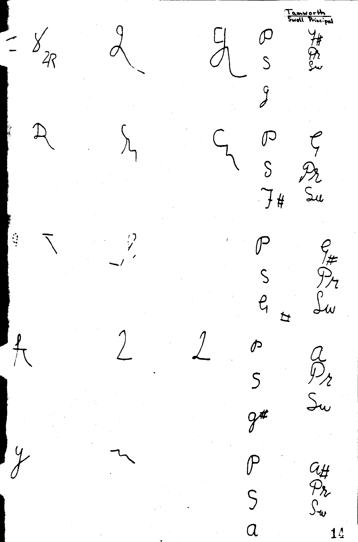'Tamworth<br>'Swell Principal  $\frac{8}{4}$ HR24  $\frac{1}{2}$  $\widetilde{y}$  $\begin{matrix} 5 \end{matrix}$  $\zeta$  $\sum_{i=1}^{n}$ Pr<br>Su  $74$  $\mathcal{G}'$  $e_{\#}$  $\mathsf{S}$ Lw  $\ell_{1}$  $\overline{p}$  $\frac{\rho}{\sqrt{2}}$  $\boldsymbol{\phi}$  $\overset{a}{\mathcal{P}}_{2}$  $\overline{S}$ Su  $9<sup>#</sup>$  $\frac{4}{1}$  $\mathcal{P}$  $\begin{array}{c} G \ \nleftrightarrow \rightarrow \\ \n& \searrow \rightarrow \\ \n& \searrow \rightarrow \end{array}$  $\mathsf{S}$  $\overline{a}$ 14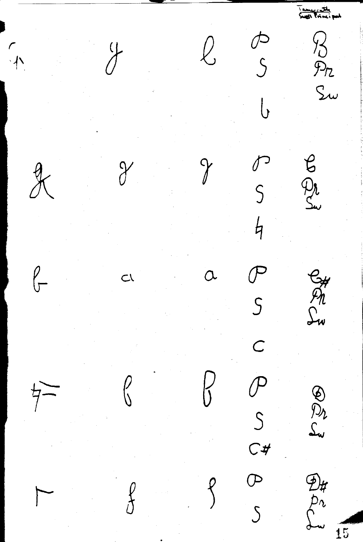<u>i amisse ath.</u><br>Su**gir P**rinci pah Rome<br>Sw  $\begin{array}{c}\n\mathcal{D} \\
\mathcal{S}\n\end{array}$  $\overline{\mathcal{L}}$  $\sqrt{ }$ agal Josh  $\chi$  $\gamma$  $\int$ PSCPS CHANGE  $\subset$ e Col  $\overline{4}$  $D_{\mu}$ <br> $D_{\nu}$ <br> $\sum_{\omega}$  $\overline{15}$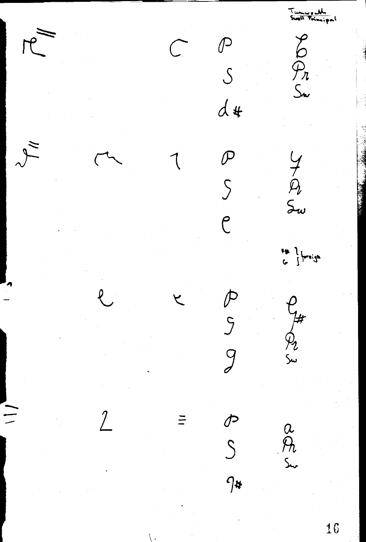Tumuradh<br>Siall Principal  $800n$  $\mathbb{P}$ <br> $S$  $d$  $72<sub>w</sub>$  $\mathcal{P}$  $\overline{\mathcal{S}}$  $\overline{C}$  $\frac{1}{2}$  (breigh PS g Compt  $\frac{1}{\sqrt{2}}$  $\equiv$  $\frac{a}{b}$ 16  $\setminus$  .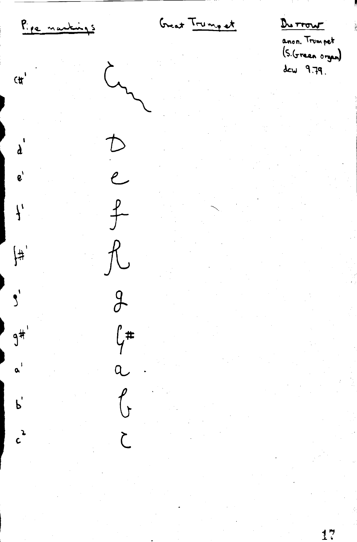Great Trump et Du Trow Pipe nantings anon. Trumpet  $(5.6$  reen organ)  $dcw = 9.79.$  $\sim$  $C^{\dagger}$  $\mathcal{D}$  $\lambda$ <sup> $\lambda$ </sup> .<br>e  $\mathbf{e}^{\mathbf{v}}$  $f$  $\mathcal{L}_t$  $\int$  $\begin{cases} \frac{1}{\sqrt{2}} \\ \frac{1}{\sqrt{2}} \end{cases}$  $\int_0^1$  $\frac{9}{5}$  $\int$ #  $9^{\frac{1}{4}}$  $\alpha^{\pm}$  $\bigg($  $P$  $\frac{2}{c}$  $\sum$  $17$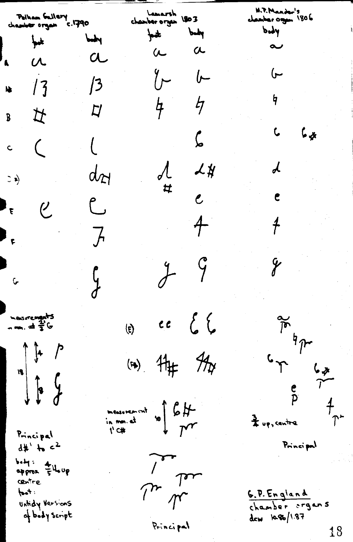W.P. Mander's Lamarsh<br>Chamber organ 1803 Pelham Gallery<br>Chamber organ - C.1790 chamber organ 1806  $bdy$ pot pop  $\frac{1}{2}$ m  $\sim$  $a \ a$  $\alpha$  $\sqrt{2}$  $\overline{C}$  $y^{\sim}$  $\int$  $\frac{1}{3}$ N  $\frac{1}{2}$  $4<sup>1</sup>$  $\not\vdash$  $\overline{L}$ B<br>女  $L_{\phi}$  $\mathbf{C}$  $\overline{\mathcal{L}}$  $\overline{\mathcal{L}}$  $\mathbf{c}$  $\begin{array}{ccc} & & \mathcal{L} \downarrow \ & \mathcal{L} \downarrow \ & & \mathcal{L} \end{array}$  $\boldsymbol{\lambda}$ dot  $\Rightarrow$  $\epsilon$  $\int_{\tau}$ ل  $\frac{1}{2}$  $\ddot{t}$  $\overline{J}$  $\mathbf{F}_{\mathbf{r}}$  $J$  9  $\mathbf{y}$  $\frac{1}{2}$  $\int$ (E)  $ec\{C\}$  $\frac{1}{\sqrt{6}}$ mesurements  $C_{\uparrow}$   $\uparrow$   $C_{\uparrow}$ <br>  $\uparrow$   $\uparrow$   $\uparrow$ <br>  $\uparrow$   $\uparrow$   $\uparrow$ (a)  $H_{\#}$   $H_{\gamma}$  $\begin{array}{ccc}\n\text{measurement} & \text{if } & \text{if } \\
\text{in } & \text{max of} & \\
\text{if } & \text{if } & \text{if } \\
\text{if } & & \text{if } \\
\end{array}$ Principal Principal  $d#$   $\rightarrow$   $c^2$ Lu be body: Elleup **CENTre**  $int$ <u>G.P. England</u> Untidy Versions chamber organs of body script dew 1086/1.87 Principal 18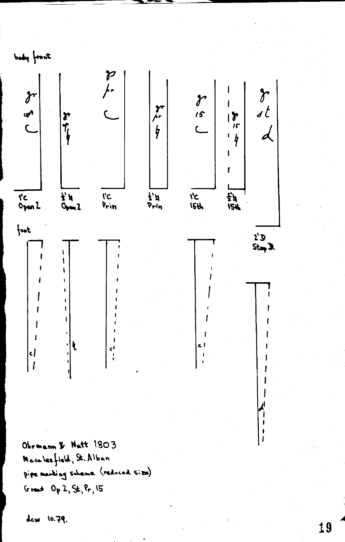

Ohrmann & Nutt 1803 Macalesfield, St. Alban pipe marking scheme (reduced size) Great  $O_p$  2, St,  $P_{r_1}$ 15

dew 10.79.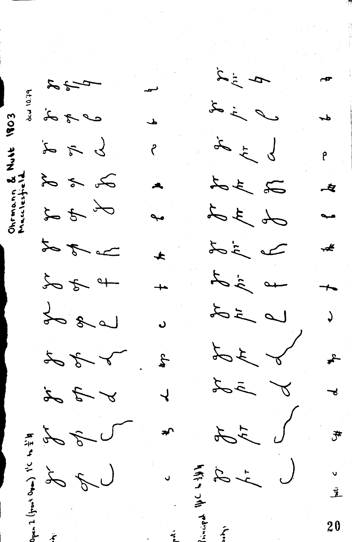$\frac{d}{dt}$  $5 - 32$ ىــ Aw 10.79  $\ell$  i d  $27 - 37$ 1803  $\frac{1}{2}$  $\frac{1}{2}$ م<br>م メップ  $23.38$ J 3 d ವ 安  $A_{\vec{c}}$ do 3 d Is is do I god Ł ┻ to is at  $+920$  $\overline{+}$ Le 20  $L = i\delta$  $\sqrt{ }$ b 3d I f f  $-\frac{2}{\sqrt{2}}$  $\overline{z}$ I sh  $\frac{1}{2}$  $\overline{\mathcal{L}}$  $L = 7$ 。<br>予 to go こうこう is sí  $\ddot{\vec{z}}$  $\overline{20}$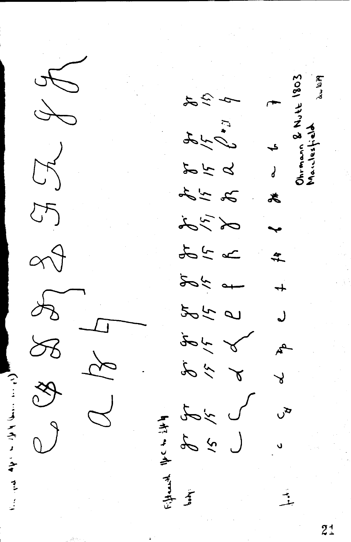$\widetilde{\mathcal{Y}}$ Ohrmann & Nutt 1803 AWWA  $\infty$  $\hat{z}$ E + D + J  $\rightarrow$  $Z^{2}$ 554  $\begin{array}{c} \mathbf{1} \end{array}$ おいわ 志  $\frac{1}{2}$  $\approx 9$ m 24  $\frac{4}{\pi}$ tok at  $888$  $565$ J  $\begin{picture}(20,5) \put(0,0){\vector(1,0){30}} \put(15,0){\vector(1,0){30}} \put(15,0){\vector(1,0){30}} \put(15,0){\vector(1,0){30}} \put(15,0){\vector(1,0){30}} \put(15,0){\vector(1,0){30}} \put(15,0){\vector(1,0){30}} \put(15,0){\vector(1,0){30}} \put(15,0){\vector(1,0){30}} \put(15,0){\vector(1,0){30}} \put(15,0){\vector(1,0){30}} \put(15,0){\vector(1,$  $\mathbf{A}$  $\frac{1}{8}$  $\lambda$  $\frac{1}{2}$  $x^2$ ىل<br>كا  $3/3$ <br>3<br>1<br>1<br>1<br>1<br>3<br>1<br>3<br>1<br>3<br>1<br>3<br>1<br> تو آخر پر 一季 一季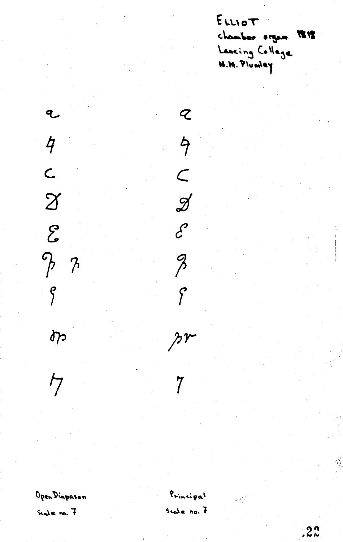ELLIOT chamber organ 1818 Lancing College

l  $\overline{4}$  $\mathsf{C}$  $\chi$  $\mathcal{E}$  $P$  7  $\int$  $\delta p$ 

Open Diapason

 $\overline{7}$ 

Seale no. 7

Principal Scale no. 7

 $\mathcal{Q}$ 

 $\overline{9}$ 

 $\subset$ 

 $\mathscr{J}$ 

 $\mathcal{E}$ 

 $\beta$ 

 $\int$ 

 $\lambda^{\gamma}$ 

 $\overline{7}$ 

 $22$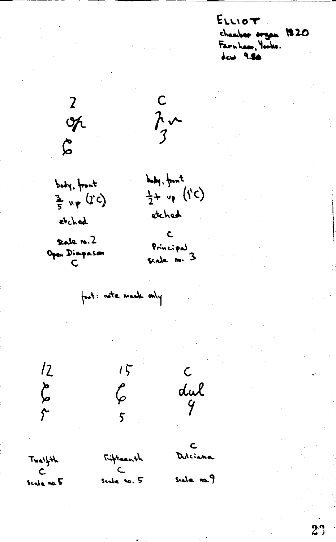ELLIOT chamber organ 1820 Farnham, Yorks.  $d$  cus 9.80

 $\frac{c}{3}$ 

body, front

etched

 $\frac{1}{2}+ v_{\gamma}$  (i'c)

body, front  $\frac{1}{5}$  up (1'C) etched Scale ro. 2 Open Diaspason

20KG

 $\mathsf{C}$ Principal<br>scale no. 3

foot: note mask only

にんか

 $6\%$ Fifteenth

 $15$ 

 $\mathbf{C}$ Dilciana

 $\mathsf{C}$ 

dul

 $TwayH$  $\mathcal{C}$ Scale na 5

 $\overline{C}$ side no. 5

seda no.9

 $2^{\circ}$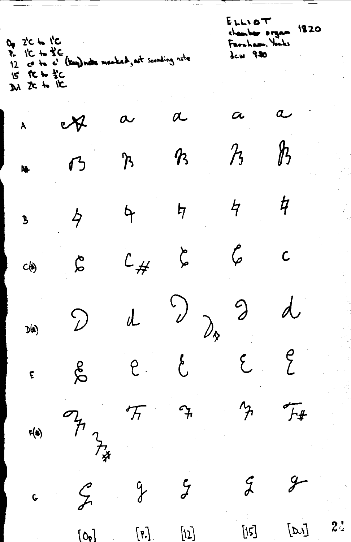$ELLVOT$ chamber organ 1820 0, 2'C to 1'C Farnham, Yorks P. I'L to the C.<br>12 co to c' (kay) notes manked, not sounding note dew 930  $15$  tc to  $\frac{15}{2}$ c Di te to TE  $\overline{a}$  $\alpha$  $\alpha$  $\boldsymbol{\alpha}$  $\cancel{v}$ À  $\frac{\hbar}{2}$  $\mathcal{H}% _{0}=\mathcal{H}_{\mathrm{CL}}\left( \mathcal{M}_{0}\right) ^{\prime }=\mathcal{M}_{\mathrm{CL}}\left( \mathcal{M}_{0}\right) ^{\prime }$  $\boldsymbol{\mathcal{P}}$ ፝፝፝፝፝፟፟፟፟ 乃 N,  $\frac{1}{2}$  $\frac{1}{2}$  $\ddot{\varphi}$  $\frac{1}{2}$  $\cancel{b}$  $\overline{\mathbf{B}}$  $\bm{\zeta}$ r<br>P  $\overline{\mathsf{C}}$  $c_{#}$  $\boldsymbol{\zeta}$  $c(\xi)$  $\bigcirc$  $\mathcal{D}$ d  $\mathcal{D}$  $\bigg)_{\!\!\scriptscriptstyle \diamondsuit}$  $D(4)$  $\int\limits_{-1}^{0}$  $\zeta$  $\bigg\{$ e  $\delta$  $\tilde{\epsilon}$  $\overline{f_{\#}}$ ′ት  $\mathcal{F}_{\mathcal{H}}$  $F(x)$ アネ  $\mathcal{G}$  $\mathcal{Y}$  $\mathcal{G}$  $\frac{q}{d}$  $\mathcal{L}_{\mathcal{F}}$  $\overline{G}$  $2<sup>4</sup>$  $[\nu]$  $[15]$  $\left[\mathbf{P}\right]$  .  $[12]$  $[0, 1]$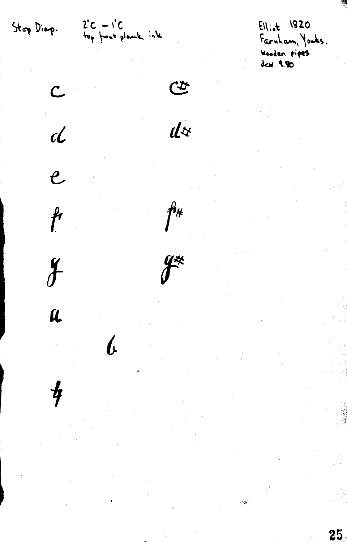Stop Diap.

 $\overline{C}$ 

 $\overline{d}$ 

 $\overline{e}$ 

 $\mathfrak{f}$ 

 $2^{\prime}C - 1^{\prime}C$ 

 $Ell_{i\bullet}t$  1820 Farnham, Yorks. Wooden pipes<br>daw 9.90

25

 $\mathfrak{G}$ 

 $d\dot{x}$ 

 $\mathring{f}^*$ 

 $\mathcal{F}^*$ 

 $\frac{y}{\sqrt{2}}$ 

U

 $\frac{1}{f}$ 

 $\boldsymbol{b}$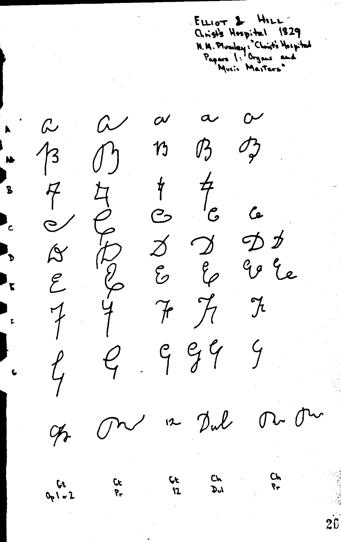ELLIOT & HILL Christ's Hospital 1829 M. M. Mundey: "Christ's Mospital

 $\mathcal{C}$  $\alpha$  $\overline{\mathcal{C}}$  $\boldsymbol{\alpha}$  $\omega$  $13$  $\mathcal{P}_v$  $\mathcal{J}_{\gamma}$  $\boldsymbol{\eta}$  $\int$  $rac{4}{3}$   $rac{7}{3}$   $rac{7}{6}$ <br> $rac{8}{7}$   $rac{9}{7}$ R Q L 片 CONDICIO  $\mathcal{C}$  $\mathbf{P}_{c}$ カカ go le  $\mathcal{E}$  $\mathcal{H}$  $\mathcal{J}_t$  $\frac{4}{1}$  $\mathcal{F}$  $\overline{\mathcal{F}}$  $999$  $\mathcal{C}_{\!\!\!f}$  $\ell_{\!\scriptscriptstyle\mathsf{F}}$ M. On 12 Dul  $\curvearrowright$  $\phi_{\tau}$ Ch  $c<sub>k</sub>$ **ÇŁ** 

 $\mathbf{r}$ 

<mark>የ</mark>

Nh

์<br>ร

 $\mathbf{P}_{\mathbf{p}}$ 

 $\mathbf{F}$ 

 $\mathbf{r}$ 

 $\overline{P}$ 

 $\mathcal{D}^{\prime}$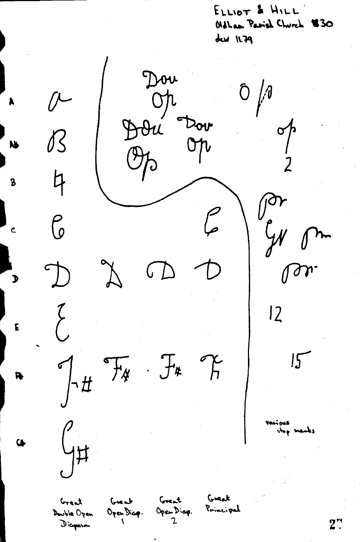ELLIOT & HILL' Oldham Parish Church 130  $duN$ 

Dou  $\overline{C}$ op  $\rightarrow$ Dou B pr  $\mathcal C$  $\int$  $\mathcal{C}_{\mathcal{N}}$  $\tilde{y}$  $\bigcirc$  $\subset$ <u>(</u>  $\delta r$  $\bigcup$  $12$  $\left\{\begin{array}{c} 1 \\ 1 \end{array}\right\}$  $7.1$  $\int f(x) dx$  $T$  $15$  $F_{\cancel{A}}$ كەن ئىمە  $\int_{\frac{1}{2}}$ stop marks  $\ddot{\bullet}$ Graak Grent Great Great Open Diap. Principal Open Dicop. Double Open  $\mathbf{z}$  $\overline{\mathbf{A}}$ Diapason

N.

 $\overline{\mathbf{B}}$ 

Ć

 $\mathbf{J}$ 

 $\mathbf{E}$ 

R

 $2$ .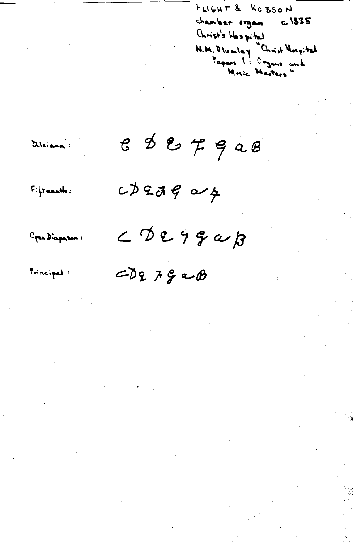FLIGHT & ROBSON chamber organ c. 1835 Christ's Hospital M.M. Plumley Christ Mospital<br>Tayors 1: Organs and<br>Music Masters"

Dileiana:

 $e$   $\phi$   $e$   $\tau$   $e$   $a$   $e$ 

 $c$  $\phi$  2  $\partial$   $\phi$   $\phi$ 

Open Diapason:

 $F$  :  $\frac{1}{2}$  teach :

 $\angle$ BE79aB

Principal 1

 $CD2792B$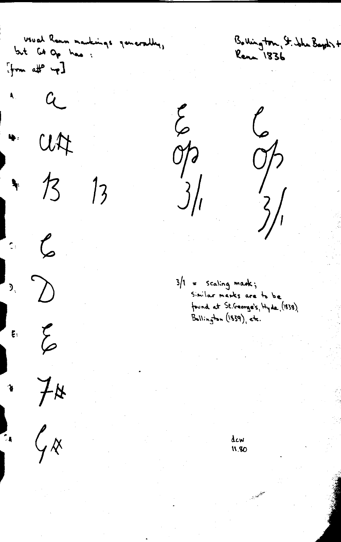Usual Rann markings ganarally, but Gd Op has :  $[fm$  affermand.  $\sim$  a  $u$  $\frac{1}{3}$  $\frac{1}{2}$  $\begin{array}{cc} \begin{array}{c} \mathcal{L} & \mathcal{L} \\ \mathcal{L} & \mathcal{L} \end{array} \end{array}$  $\sum_{i=1}^{n}$  $\begin{matrix} 1 & 1 & 1 \\ 1 & 1 & 1 \\ 1 & 1 & 1 \\ 1 & 1 & 1 \\ 1 & 1 & 1 \\ 1 & 1 & 1 \\ 1 & 1 & 1 \\ 1 & 1 & 1 \\ 1 & 1 & 1 \\ 1 & 1 & 1 \\ 1 & 1 & 1 \\ 1 & 1 & 1 \\ 1 & 1 & 1 \\ 1 & 1 & 1 \\ 1 & 1 & 1 & 1 \\ 1 & 1 & 1 & 1 \\ 1 & 1 & 1 & 1 \\ 1 & 1 & 1 & 1 \\ 1 & 1 & 1 & 1 \\ 1 & 1 & 1 & 1 \\ 1 & 1 & 1 & 1 \\ 1 & 1$  $74$  $\ddot{\bullet}$  $\mathcal{G}_{\mathcal{R}}$  $\frac{1}{2}$ 

Bollington, St. John Bayds + Rena 1836

 $\sum_{i=1}^n$  $\begin{pmatrix} 1 & 1 \\ 1 & 1 \end{pmatrix}$  $\sum_{i=1}^{n}$  $\partial \rho$  $3\frac{1}{2}$  $\frac{2}{3}$ 

 $3/1 =$  Scaling mark; Similar marks are to be found at St. George's, Hyde, (1838). Bollington (1839), etc.

> dcw 11.80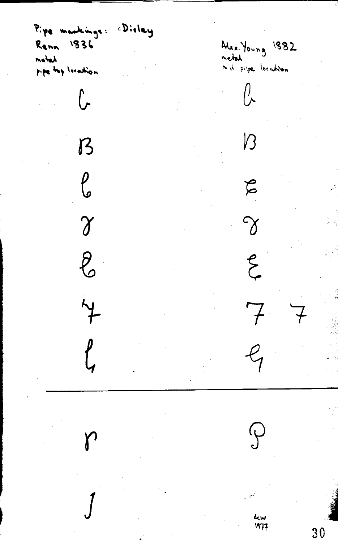Pipe markings: 1836 Renn matal pipe top Intestion

 $\overline{C}$ 

 $\mathcal{B}$ 

 $\int_{0}^{1}$ 

 $\gamma$ 

 $\ell$ 

 $\overline{Y}$ 

 $\int\int$ 

Dieley

Alex. Young 1882<br>metal<br>mid pipe location  $\int$ 

 $\sqrt{3}$ 

 $\beta$ 

 $\gamma$ 

 $\zeta$ 

 $7\,$ 

dcw<br>1977

(ب